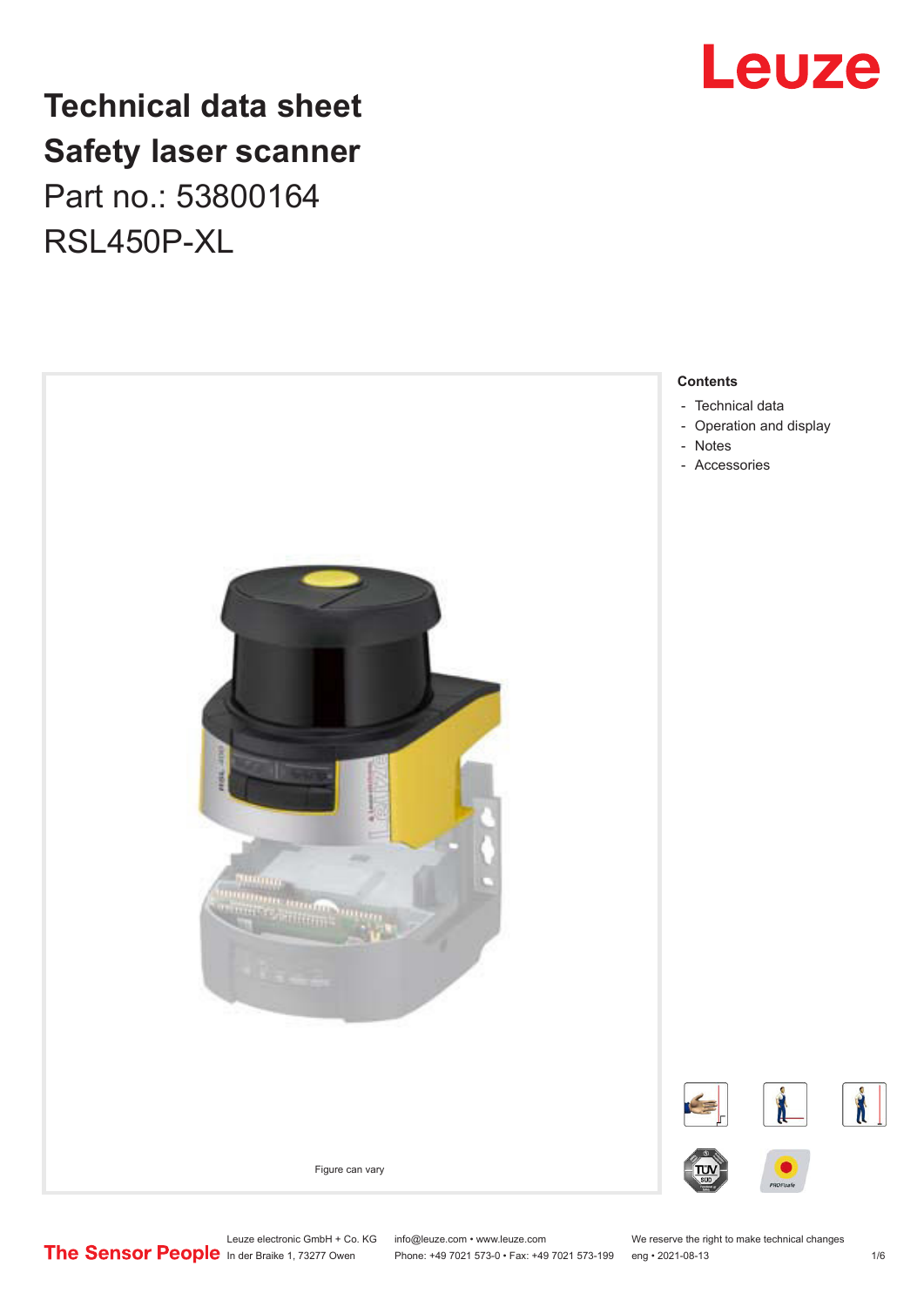

## **Technical data sheet Safety laser scanner** Part no.: 53800164 RSL450P-XL



Leuze electronic GmbH + Co. KG info@leuze.com • www.leuze.com We reserve the right to make technical changes<br> **The Sensor People** in der Braike 1, 73277 Owen Phone: +49 7021 573-0 • Fax: +49 7021 573-199 eng • 2021-08-13

Phone: +49 7021 573-0 • Fax: +49 7021 573-199 eng • 2021-08-13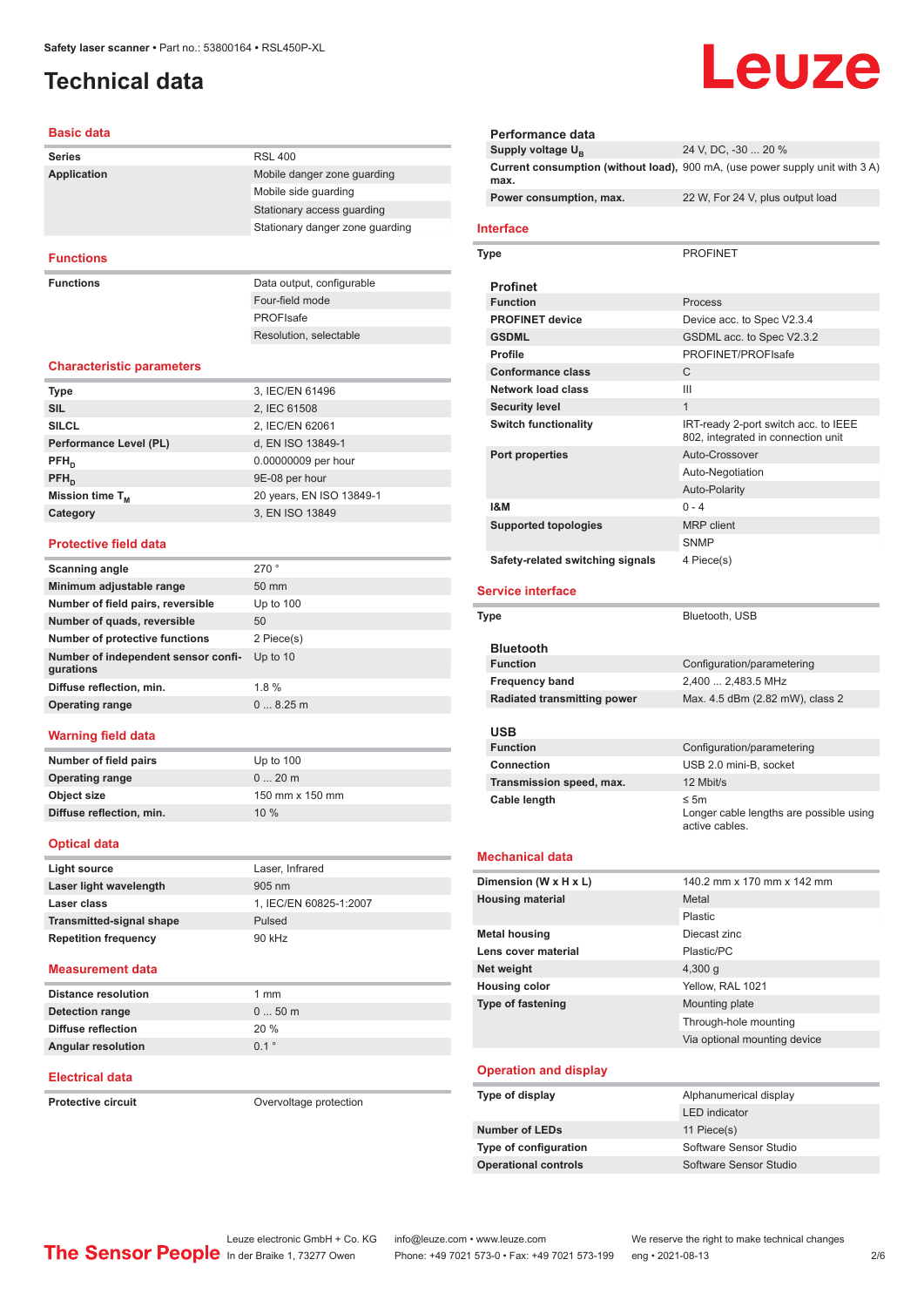## <span id="page-1-0"></span>**Technical data**

| <b>Basic data</b>                                                    |                                 |
|----------------------------------------------------------------------|---------------------------------|
| <b>Series</b>                                                        | <b>RSL 400</b>                  |
| <b>Application</b>                                                   | Mobile danger zone guarding     |
|                                                                      | Mobile side guarding            |
|                                                                      | Stationary access guarding      |
|                                                                      | Stationary danger zone guarding |
| <b>Functions</b>                                                     |                                 |
| <b>Functions</b>                                                     | Data output, configurable       |
|                                                                      | Four-field mode                 |
|                                                                      | PROFIsafe                       |
|                                                                      | Resolution, selectable          |
| <b>Characteristic parameters</b>                                     |                                 |
| Type                                                                 | 3, IEC/EN 61496                 |
| <b>SIL</b>                                                           | 2, IEC 61508                    |
| <b>SILCL</b>                                                         | 2, IEC/EN 62061                 |
| Performance Level (PL)                                               | d, EN ISO 13849-1               |
| $PFH_{n}$                                                            | 0.00000009 per hour             |
| $PFH_{n}$                                                            | 9E-08 per hour                  |
| Mission time T <sub>M</sub>                                          | 20 years, EN ISO 13849-1        |
| Category                                                             | 3. EN ISO 13849                 |
| <b>Protective field data</b>                                         |                                 |
| Scanning angle                                                       | 270°                            |
| Minimum adjustable range                                             | 50 mm                           |
| Number of field pairs, reversible                                    | Up to 100                       |
| Number of quads, reversible                                          | 50                              |
| <b>Number of protective functions</b>                                | 2 Piece(s)                      |
| Number of independent sensor confi-<br>gurations                     | Up to 10                        |
| Diffuse reflection, min.                                             | 1.8%                            |
|                                                                      |                                 |
| Operating range                                                      | 08.25m                          |
|                                                                      |                                 |
| Number of field pairs                                                | Up to $100$                     |
| <b>Operating range</b>                                               | 020m                            |
|                                                                      | 150 mm x 150 mm                 |
| <b>Warning field data</b><br>Object size<br>Diffuse reflection, min. | 10 %                            |
| <b>Optical data</b>                                                  |                                 |
| <b>Light source</b>                                                  | Laser, Infrared                 |
| Laser light wavelength                                               | 905 nm                          |
| Laser class                                                          | 1, IEC/EN 60825-1:2007          |
| <b>Transmitted-signal shape</b>                                      | Pulsed                          |

#### **Measurement data**

| Distance resolution       | 1 mm             |
|---------------------------|------------------|
| Detection range           | $050$ m          |
| Diffuse reflection        | 20%              |
| <b>Angular resolution</b> | $0.1$ $^{\circ}$ |

#### **Electrical data**

**Protective circuit Circuit** Overvoltage protection

## Leuze

| Performance data                 |                                                                              |
|----------------------------------|------------------------------------------------------------------------------|
| Supply voltage U <sub>B</sub>    | 24 V, DC, -30  20 %                                                          |
| max.                             | Current consumption (without load), 900 mA, (use power supply unit with 3 A) |
| Power consumption, max.          | 22 W, For 24 V, plus output load                                             |
| <b>Interface</b>                 |                                                                              |
| Type                             | <b>PROFINET</b>                                                              |
| <b>Profinet</b>                  |                                                                              |
| <b>Function</b>                  | Process                                                                      |
| <b>PROFINET device</b>           | Device acc. to Spec V2.3.4                                                   |
| <b>GSDML</b>                     | GSDML acc. to Spec V2.3.2                                                    |
| <b>Profile</b>                   | PROFINET/PROFIsafe                                                           |
| <b>Conformance class</b>         | С                                                                            |
| <b>Network load class</b>        | Ш                                                                            |
| <b>Security level</b>            | $\mathbf{1}$                                                                 |
| <b>Switch functionality</b>      | IRT-ready 2-port switch acc. to IEEE<br>802, integrated in connection unit   |
| <b>Port properties</b>           | Auto-Crossover                                                               |
|                                  | Auto-Negotiation                                                             |
|                                  | <b>Auto-Polarity</b>                                                         |
| 1&M                              | $0 - 4$                                                                      |
| <b>Supported topologies</b>      | <b>MRP</b> client                                                            |
|                                  | <b>SNMP</b>                                                                  |
| Safety-related switching signals | 4 Piece(s)                                                                   |
| <b>Service interface</b>         |                                                                              |
| Type                             | Bluetooth, USB                                                               |
|                                  |                                                                              |
| <b>Bluetooth</b>                 |                                                                              |
| <b>Function</b>                  | Configuration/parametering                                                   |
| <b>Frequency band</b>            | 2,400  2,483.5 MHz                                                           |
| Radiated transmitting power      | Max. 4.5 dBm (2.82 mW), class 2                                              |
|                                  |                                                                              |
| USB<br><b>Function</b>           | Configuration/parametering                                                   |
| Connection                       | USB 2.0 mini-B, socket                                                       |
| Transmission speed, max.         | 12 Mbit/s                                                                    |
| Cable length                     | $\leq$ 5m                                                                    |
|                                  | Longer cable lengths are possible using<br>active cables.                    |
| <b>Mechanical data</b>           |                                                                              |
| Dimension (W x H x L)            | 140.2 mm x 170 mm x 142 mm                                                   |
| <b>Housing material</b>          | Metal                                                                        |
|                                  | Plastic                                                                      |
| <b>Metal housing</b>             | Diecast zinc                                                                 |
| Lens cover material              | Plastic/PC                                                                   |
| Net weight                       | 4,300 g                                                                      |
| <b>Housing color</b>             | Yellow, RAL 1021                                                             |
| <b>Type of fastening</b>         | Mounting plate                                                               |
|                                  | Through-hole mounting                                                        |
|                                  | Via optional mounting device                                                 |
| <b>Operation and display</b>     |                                                                              |
| Type of display                  | Alphanumerical display                                                       |
|                                  | <b>LED</b> indicator                                                         |
| <b>Number of LEDs</b>            | 11 Piece(s)                                                                  |
| Type of configuration            | Software Sensor Studio                                                       |
| <b>Operational controls</b>      | Software Sensor Studio                                                       |
|                                  |                                                                              |

Leuze electronic GmbH + Co. KG info@leuze.com • www.leuze.com We reserve the right to make technical changes

ln der Braike 1, 73277 Owen Phone: +49 7021 573-0 • Fax: +49 7021 573-199 eng • 2021-08-13 2/6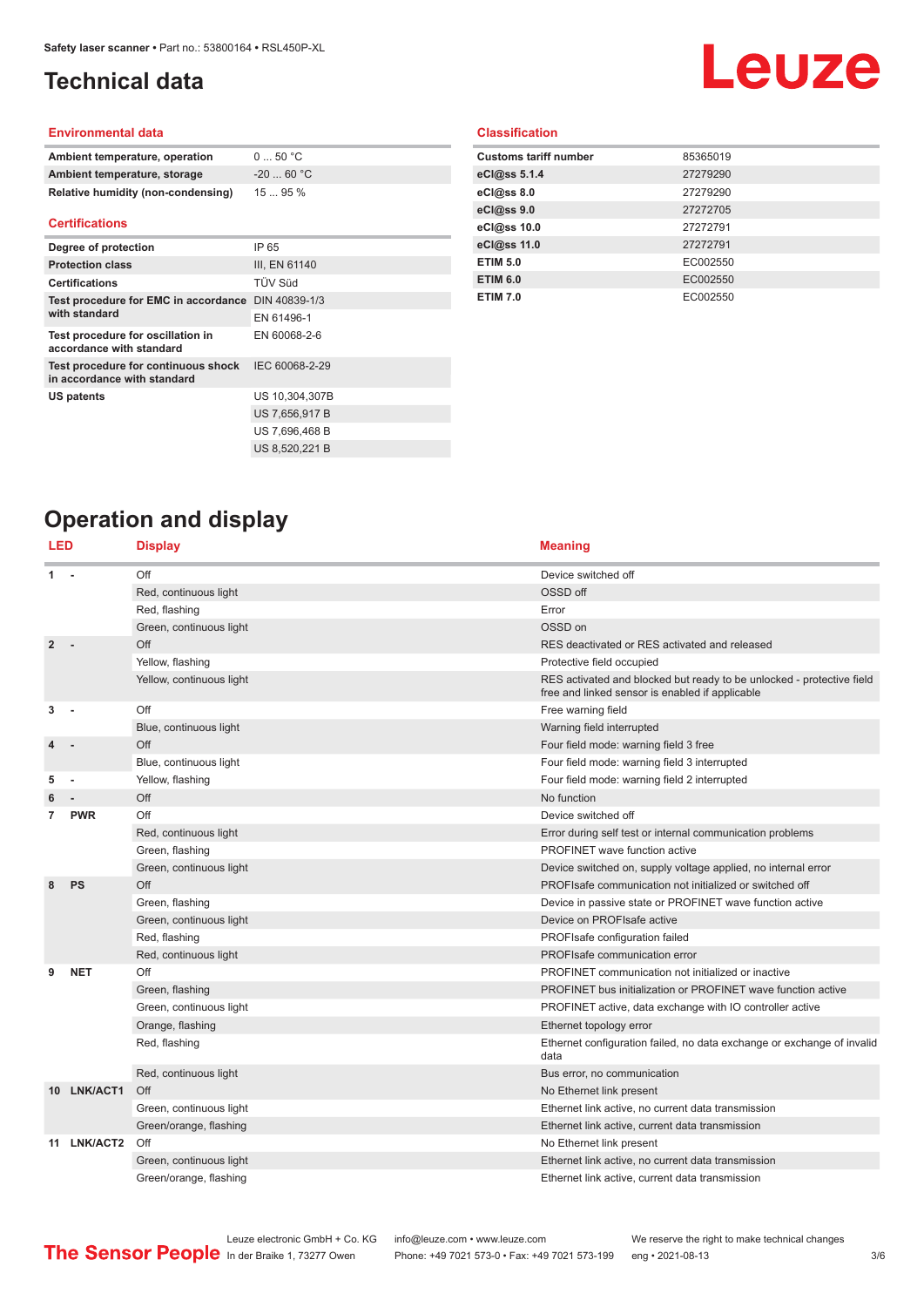## <span id="page-2-0"></span>**Technical data**

## **Leuze**

#### **Environmental data**

| Ambient temperature, operation     | $0 \dots 50$ °C |
|------------------------------------|-----------------|
| Ambient temperature, storage       | $-2060 °C$      |
| Relative humidity (non-condensing) | 1595%           |

#### **Certifications**

| Degree of protection                                               | IP 65          |
|--------------------------------------------------------------------|----------------|
| <b>Protection class</b>                                            | III. EN 61140  |
| <b>Certifications</b>                                              | TÜV Süd        |
| Test procedure for EMC in accordance                               | DIN 40839-1/3  |
| with standard                                                      | EN 61496-1     |
| Test procedure for oscillation in<br>accordance with standard      | EN 60068-2-6   |
| Test procedure for continuous shock<br>in accordance with standard | IEC 60068-2-29 |
| <b>US patents</b>                                                  | US 10,304,307B |
|                                                                    | US 7,656,917 B |
|                                                                    | US 7,696,468 B |
|                                                                    | US 8,520,221 B |

### **Classification**

| <b>Customs tariff number</b> | 85365019 |
|------------------------------|----------|
| eCl@ss 5.1.4                 | 27279290 |
| eCl@ss 8.0                   | 27279290 |
| eCl@ss 9.0                   | 27272705 |
| eCl@ss 10.0                  | 27272791 |
| eCl@ss 11.0                  | 27272791 |
| <b>ETIM 5.0</b>              | EC002550 |
| <b>ETIM 6.0</b>              | EC002550 |
| <b>ETIM 7.0</b>              | EC002550 |

## **Operation and display**

| LED            |                        | <b>Display</b>                                  | <b>Meaning</b>                                                                                                           |
|----------------|------------------------|-------------------------------------------------|--------------------------------------------------------------------------------------------------------------------------|
| 1              |                        | Off                                             | Device switched off                                                                                                      |
|                |                        | Red, continuous light                           | OSSD off                                                                                                                 |
|                |                        | Red, flashing                                   | Error                                                                                                                    |
|                |                        | Green, continuous light                         | OSSD on                                                                                                                  |
| $\overline{2}$ |                        | Off                                             | RES deactivated or RES activated and released                                                                            |
|                |                        | Yellow, flashing                                | Protective field occupied                                                                                                |
|                |                        | Yellow, continuous light                        | RES activated and blocked but ready to be unlocked - protective field<br>free and linked sensor is enabled if applicable |
| 3              |                        | Off                                             | Free warning field                                                                                                       |
|                |                        | Blue, continuous light                          | Warning field interrupted                                                                                                |
|                |                        | Off                                             | Four field mode: warning field 3 free                                                                                    |
|                |                        | Blue, continuous light                          | Four field mode: warning field 3 interrupted                                                                             |
| 5              |                        | Yellow, flashing                                | Four field mode: warning field 2 interrupted                                                                             |
|                |                        | Off                                             | No function                                                                                                              |
| 7              | <b>PWR</b>             | Off                                             | Device switched off                                                                                                      |
|                |                        | Red, continuous light                           | Error during self test or internal communication problems                                                                |
|                |                        | Green, flashing                                 | <b>PROFINET</b> wave function active                                                                                     |
|                |                        | Green, continuous light                         | Device switched on, supply voltage applied, no internal error                                                            |
| 8              | PS                     | Off                                             | PROFIsafe communication not initialized or switched off                                                                  |
|                |                        | Green, flashing                                 | Device in passive state or PROFINET wave function active                                                                 |
|                |                        | Green, continuous light                         | Device on PROFIsafe active                                                                                               |
|                |                        | Red, flashing                                   | PROFIsafe configuration failed                                                                                           |
|                |                        | Red, continuous light                           | PROFIsafe communication error                                                                                            |
| 9              | <b>NET</b>             | Off                                             | PROFINET communication not initialized or inactive                                                                       |
|                |                        | Green, flashing                                 | PROFINET bus initialization or PROFINET wave function active                                                             |
|                |                        | Green, continuous light                         | PROFINET active, data exchange with IO controller active                                                                 |
|                |                        | Orange, flashing                                | Ethernet topology error                                                                                                  |
|                |                        | Red, flashing                                   | Ethernet configuration failed, no data exchange or exchange of invalid<br>data                                           |
|                |                        | Red, continuous light                           | Bus error, no communication                                                                                              |
|                | 10 LNK/ACT1            | Off                                             | No Ethernet link present                                                                                                 |
|                |                        | Green, continuous light                         | Ethernet link active, no current data transmission                                                                       |
|                |                        | Green/orange, flashing                          | Ethernet link active, current data transmission                                                                          |
|                | 11 LNK/ACT2            | Off                                             | No Ethernet link present                                                                                                 |
|                |                        | Green, continuous light                         | Ethernet link active, no current data transmission                                                                       |
|                | Green/orange, flashing | Ethernet link active, current data transmission |                                                                                                                          |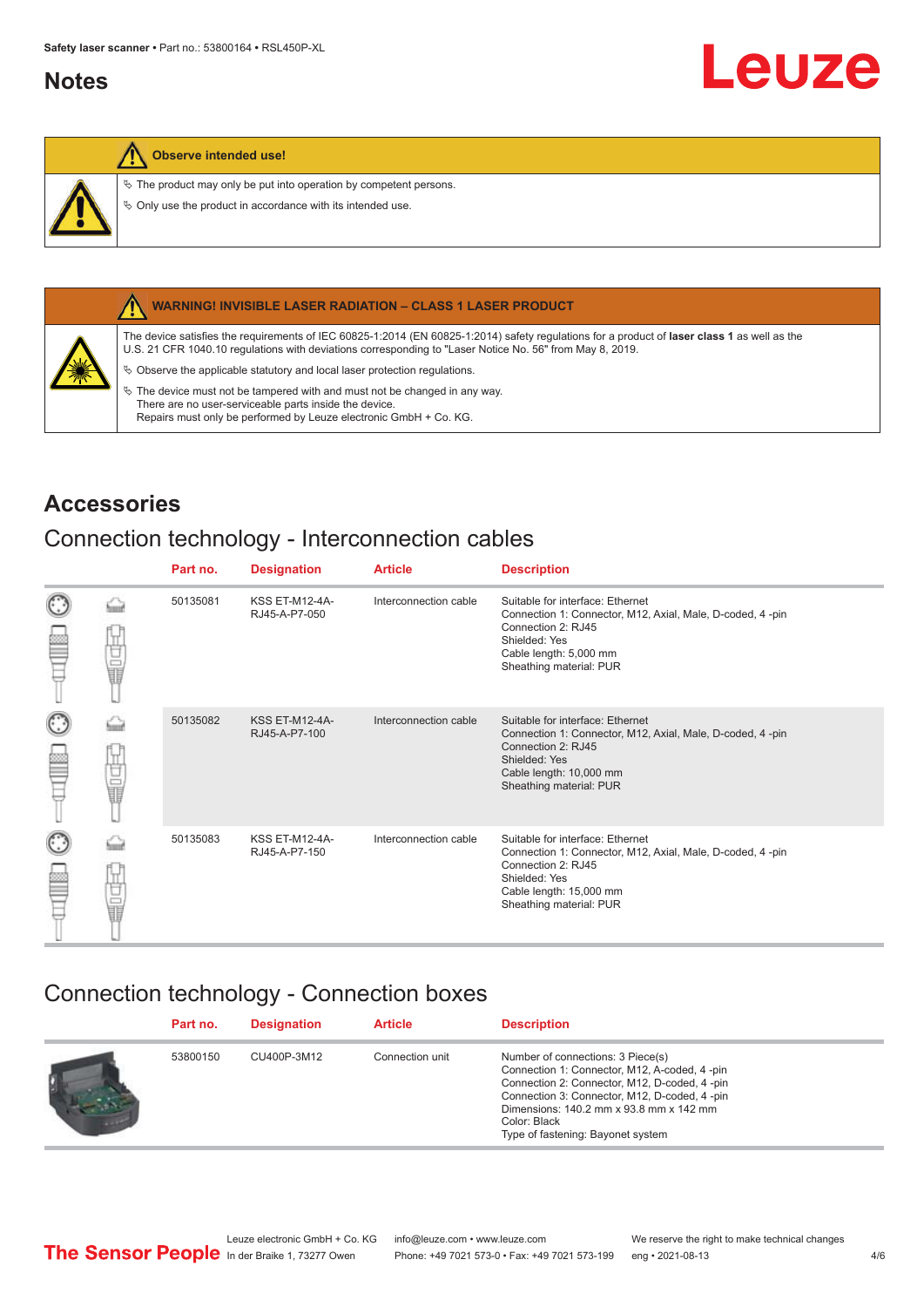## <span id="page-3-0"></span>**Notes**

### **Observe intended use!**

 $\&$  The product may only be put into operation by competent persons.

 $\%$  Only use the product in accordance with its intended use.



#### **WARNING! INVISIBLE LASER RADIATION – CLASS 1 LASER PRODUCT**

The device satisfies the requirements of IEC 60825-1:2014 (EN 60825-1:2014) safety regulations for a product of **laser class 1** as well as the U.S. 21 CFR 1040.10 regulations with deviations corresponding to "Laser Notice No. 56" from May 8, 2019.

 $\&$  Observe the applicable statutory and local laser protection regulations.

 $\%$  The device must not be tampered with and must not be changed in any way. There are no user-serviceable parts inside the device. Repairs must only be performed by Leuze electronic GmbH + Co. KG.

## **Accessories**

## Connection technology - Interconnection cables

|                      |    | Part no. | <b>Designation</b>                     | <b>Article</b>        | <b>Description</b>                                                                                                                                                                         |
|----------------------|----|----------|----------------------------------------|-----------------------|--------------------------------------------------------------------------------------------------------------------------------------------------------------------------------------------|
| $_{\odot}$<br>œ      | Ī  | 50135081 | <b>KSS ET-M12-4A-</b><br>RJ45-A-P7-050 | Interconnection cable | Suitable for interface: Ethernet<br>Connection 1: Connector, M12, Axial, Male, D-coded, 4-pin<br>Connection 2: RJ45<br>Shielded: Yes<br>Cable length: 5,000 mm<br>Sheathing material: PUR  |
| $_{\bigodot}$<br>p   | 甘量 | 50135082 | <b>KSS ET-M12-4A-</b><br>RJ45-A-P7-100 | Interconnection cable | Suitable for interface: Ethernet<br>Connection 1: Connector, M12, Axial, Male, D-coded, 4-pin<br>Connection 2: RJ45<br>Shielded: Yes<br>Cable length: 10,000 mm<br>Sheathing material: PUR |
| $_{\mathbb{C}}$<br>œ | 甘晶 | 50135083 | <b>KSS ET-M12-4A-</b><br>RJ45-A-P7-150 | Interconnection cable | Suitable for interface: Ethernet<br>Connection 1: Connector, M12, Axial, Male, D-coded, 4-pin<br>Connection 2: RJ45<br>Shielded: Yes<br>Cable length: 15,000 mm<br>Sheathing material: PUR |

## Connection technology - Connection boxes

| Part no. | <b>Designation</b> | <b>Article</b>  | <b>Description</b>                                                                                                                                                                                                                                                                  |
|----------|--------------------|-----------------|-------------------------------------------------------------------------------------------------------------------------------------------------------------------------------------------------------------------------------------------------------------------------------------|
| 53800150 | CU400P-3M12        | Connection unit | Number of connections: 3 Piece(s)<br>Connection 1: Connector, M12, A-coded, 4-pin<br>Connection 2: Connector, M12, D-coded, 4 -pin<br>Connection 3: Connector, M12, D-coded, 4 -pin<br>Dimensions: 140.2 mm x 93.8 mm x 142 mm<br>Color: Black<br>Type of fastening: Bayonet system |

Leuze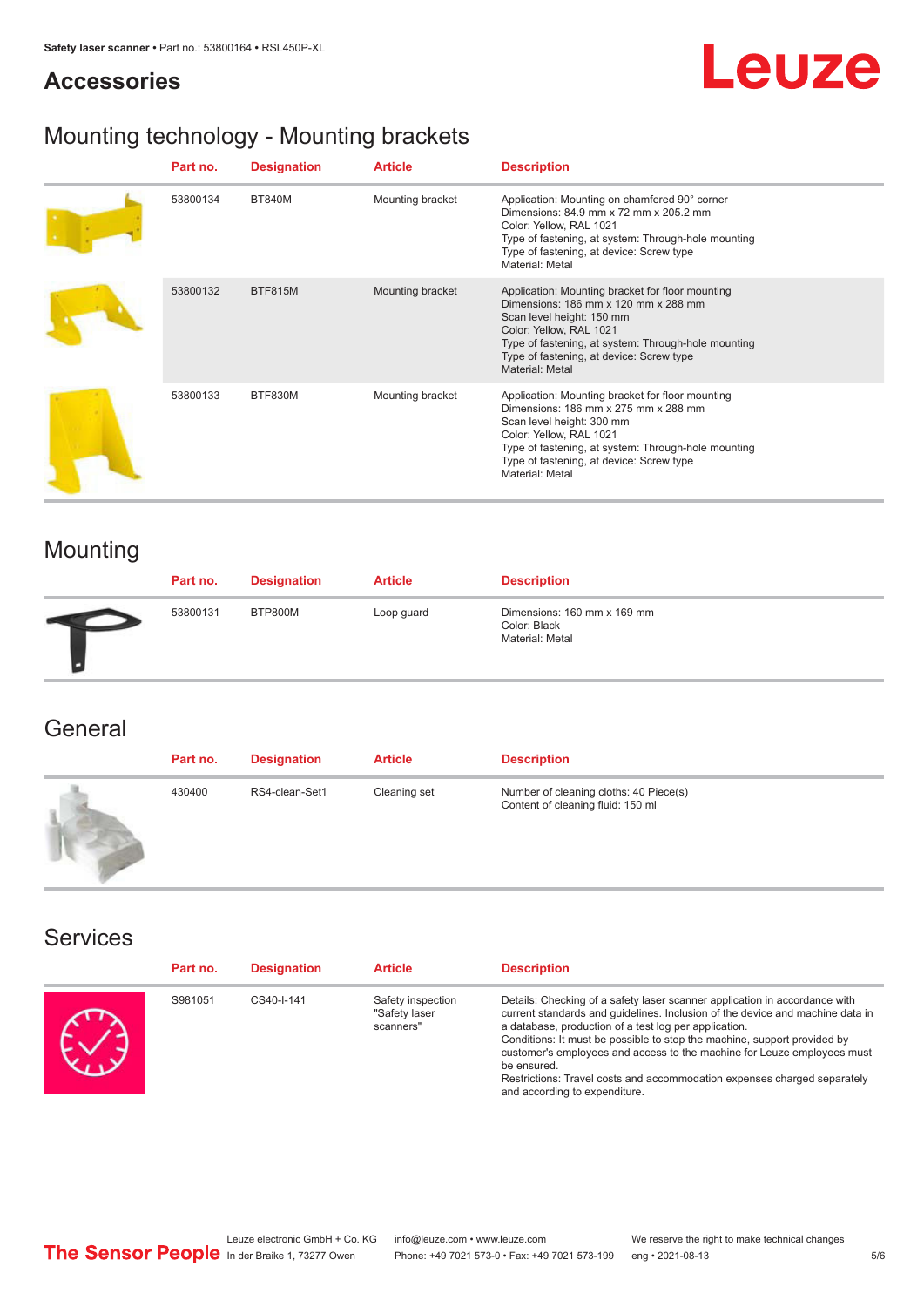### **Accessories**



## Mounting technology - Mounting brackets

| Part no. | <b>Designation</b> | <b>Article</b>   | <b>Description</b>                                                                                                                                                                                                                                                     |
|----------|--------------------|------------------|------------------------------------------------------------------------------------------------------------------------------------------------------------------------------------------------------------------------------------------------------------------------|
| 53800134 | <b>BT840M</b>      | Mounting bracket | Application: Mounting on chamfered 90° corner<br>Dimensions: 84.9 mm x 72 mm x 205.2 mm<br>Color: Yellow, RAL 1021<br>Type of fastening, at system: Through-hole mounting<br>Type of fastening, at device: Screw type<br>Material: Metal                               |
| 53800132 | <b>BTF815M</b>     | Mounting bracket | Application: Mounting bracket for floor mounting<br>Dimensions: 186 mm x 120 mm x 288 mm<br>Scan level height: 150 mm<br>Color: Yellow, RAL 1021<br>Type of fastening, at system: Through-hole mounting<br>Type of fastening, at device: Screw type<br>Material: Metal |
| 53800133 | BTF830M            | Mounting bracket | Application: Mounting bracket for floor mounting<br>Dimensions: 186 mm x 275 mm x 288 mm<br>Scan level height: 300 mm<br>Color: Yellow, RAL 1021<br>Type of fastening, at system: Through-hole mounting<br>Type of fastening, at device: Screw type<br>Material: Metal |

## Mounting

| Part no. | <b>Designation</b> | <b>Article</b> | <b>Description</b>                                             |
|----------|--------------------|----------------|----------------------------------------------------------------|
| 53800131 | BTP800M            | Loop guard     | Dimensions: 160 mm x 169 mm<br>Color: Black<br>Material: Metal |

## **General**

| Part no. | <b>Designation</b> | <b>Article</b> | <b>Description</b>                                                          |
|----------|--------------------|----------------|-----------------------------------------------------------------------------|
| 430400   | RS4-clean-Set1     | Cleaning set   | Number of cleaning cloths: 40 Piece(s)<br>Content of cleaning fluid: 150 ml |

### Services

| Part no. | <b>Designation</b> | <b>Article</b>                                  | <b>Description</b>                                                                                                                                                                                                                                                                                                                                                                                                                                                                                      |
|----------|--------------------|-------------------------------------------------|---------------------------------------------------------------------------------------------------------------------------------------------------------------------------------------------------------------------------------------------------------------------------------------------------------------------------------------------------------------------------------------------------------------------------------------------------------------------------------------------------------|
| S981051  | CS40-I-141         | Safety inspection<br>"Safety laser<br>scanners" | Details: Checking of a safety laser scanner application in accordance with<br>current standards and quidelines. Inclusion of the device and machine data in<br>a database, production of a test log per application.<br>Conditions: It must be possible to stop the machine, support provided by<br>customer's employees and access to the machine for Leuze employees must<br>be ensured.<br>Restrictions: Travel costs and accommodation expenses charged separately<br>and according to expenditure. |